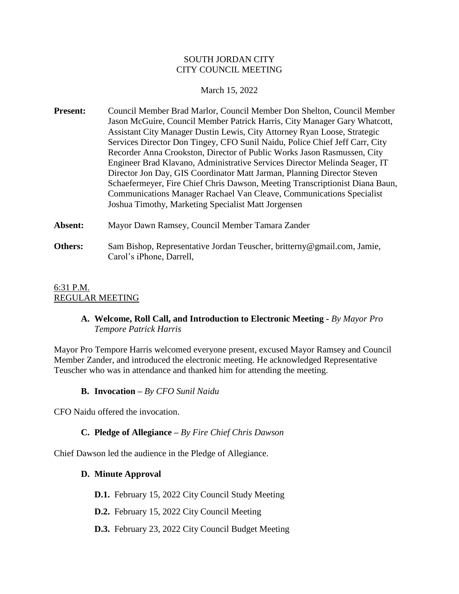#### SOUTH JORDAN CITY CITY COUNCIL MEETING

#### March 15, 2022

- **Present:** Council Member Brad Marlor, Council Member Don Shelton, Council Member Jason McGuire, Council Member Patrick Harris, City Manager Gary Whatcott, Assistant City Manager Dustin Lewis, City Attorney Ryan Loose, Strategic Services Director Don Tingey, CFO Sunil Naidu, Police Chief Jeff Carr, City Recorder Anna Crookston, Director of Public Works Jason Rasmussen, City Engineer Brad Klavano, Administrative Services Director Melinda Seager, IT Director Jon Day, GIS Coordinator Matt Jarman, Planning Director Steven Schaefermeyer, Fire Chief Chris Dawson, Meeting Transcriptionist Diana Baun, Communications Manager Rachael Van Cleave, Communications Specialist Joshua Timothy, Marketing Specialist Matt Jorgensen
- **Absent:** Mayor Dawn Ramsey, Council Member Tamara Zander
- **Others:** Sam Bishop, Representative Jordan Teuscher, britterny@gmail.com, Jamie, Carol's iPhone, Darrell,

#### 6:31 P.M. REGULAR MEETING

# **A. Welcome, Roll Call, and Introduction to Electronic Meeting -** *By Mayor Pro Tempore Patrick Harris*

Mayor Pro Tempore Harris welcomed everyone present, excused Mayor Ramsey and Council Member Zander, and introduced the electronic meeting. He acknowledged Representative Teuscher who was in attendance and thanked him for attending the meeting.

**B. Invocation –** *By CFO Sunil Naidu*

CFO Naidu offered the invocation.

# **C. Pledge of Allegiance –** *By Fire Chief Chris Dawson*

Chief Dawson led the audience in the Pledge of Allegiance.

#### **D. Minute Approval**

**D.1.** February 15, 2022 City Council Study Meeting

- **D.2.** February 15, 2022 City Council Meeting
- **D.3.** February 23, 2022 City Council Budget Meeting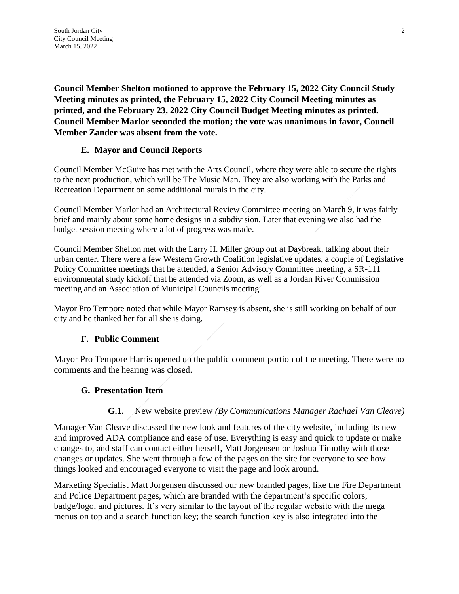**Council Member Shelton motioned to approve the February 15, 2022 City Council Study Meeting minutes as printed, the February 15, 2022 City Council Meeting minutes as printed, and the February 23, 2022 City Council Budget Meeting minutes as printed. Council Member Marlor seconded the motion; the vote was unanimous in favor, Council Member Zander was absent from the vote.**

# **E. Mayor and Council Reports**

Council Member McGuire has met with the Arts Council, where they were able to secure the rights to the next production, which will be The Music Man. They are also working with the Parks and Recreation Department on some additional murals in the city.

Council Member Marlor had an Architectural Review Committee meeting on March 9, it was fairly brief and mainly about some home designs in a subdivision. Later that evening we also had the budget session meeting where a lot of progress was made.

Council Member Shelton met with the Larry H. Miller group out at Daybreak, talking about their urban center. There were a few Western Growth Coalition legislative updates, a couple of Legislative Policy Committee meetings that he attended, a Senior Advisory Committee meeting, a SR-111 environmental study kickoff that he attended via Zoom, as well as a Jordan River Commission meeting and an Association of Municipal Councils meeting.

Mayor Pro Tempore noted that while Mayor Ramsey is absent, she is still working on behalf of our city and he thanked her for all she is doing.

# **F. Public Comment**

Mayor Pro Tempore Harris opened up the public comment portion of the meeting. There were no comments and the hearing was closed.

# **G. Presentation Item**

# **G.1.** New website preview *(By Communications Manager Rachael Van Cleave)*

Manager Van Cleave discussed the new look and features of the city website, including its new and improved ADA compliance and ease of use. Everything is easy and quick to update or make changes to, and staff can contact either herself, Matt Jorgensen or Joshua Timothy with those changes or updates. She went through a few of the pages on the site for everyone to see how things looked and encouraged everyone to visit the page and look around.

Marketing Specialist Matt Jorgensen discussed our new branded pages, like the Fire Department and Police Department pages, which are branded with the department's specific colors, badge/logo, and pictures. It's very similar to the layout of the regular website with the mega menus on top and a search function key; the search function key is also integrated into the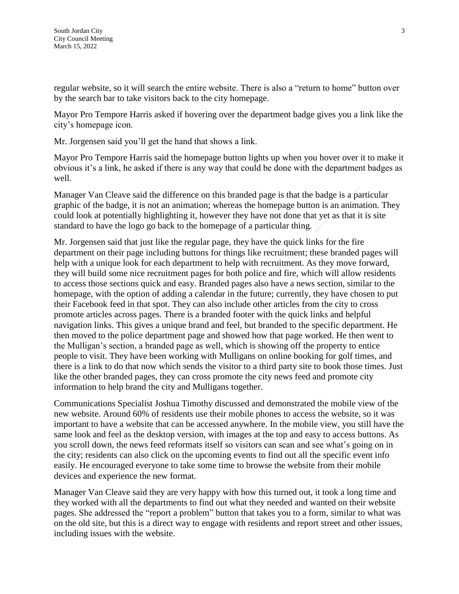regular website, so it will search the entire website. There is also a "return to home" button over by the search bar to take visitors back to the city homepage.

Mayor Pro Tempore Harris asked if hovering over the department badge gives you a link like the city's homepage icon.

Mr. Jorgensen said you'll get the hand that shows a link.

Mayor Pro Tempore Harris said the homepage button lights up when you hover over it to make it obvious it's a link, he asked if there is any way that could be done with the department badges as well.

Manager Van Cleave said the difference on this branded page is that the badge is a particular graphic of the badge, it is not an animation; whereas the homepage button is an animation. They could look at potentially highlighting it, however they have not done that yet as that it is site standard to have the logo go back to the homepage of a particular thing.

Mr. Jorgensen said that just like the regular page, they have the quick links for the fire department on their page including buttons for things like recruitment; these branded pages will help with a unique look for each department to help with recruitment. As they move forward, they will build some nice recruitment pages for both police and fire, which will allow residents to access those sections quick and easy. Branded pages also have a news section, similar to the homepage, with the option of adding a calendar in the future; currently, they have chosen to put their Facebook feed in that spot. They can also include other articles from the city to cross promote articles across pages. There is a branded footer with the quick links and helpful navigation links. This gives a unique brand and feel, but branded to the specific department. He then moved to the police department page and showed how that page worked. He then went to the Mulligan's section, a branded page as well, which is showing off the property to entice people to visit. They have been working with Mulligans on online booking for golf times, and there is a link to do that now which sends the visitor to a third party site to book those times. Just like the other branded pages, they can cross promote the city news feed and promote city information to help brand the city and Mulligans together.

Communications Specialist Joshua Timothy discussed and demonstrated the mobile view of the new website. Around 60% of residents use their mobile phones to access the website, so it was important to have a website that can be accessed anywhere. In the mobile view, you still have the same look and feel as the desktop version, with images at the top and easy to access buttons. As you scroll down, the news feed reformats itself so visitors can scan and see what's going on in the city; residents can also click on the upcoming events to find out all the specific event info easily. He encouraged everyone to take some time to browse the website from their mobile devices and experience the new format.

Manager Van Cleave said they are very happy with how this turned out, it took a long time and they worked with all the departments to find out what they needed and wanted on their website pages. She addressed the "report a problem" button that takes you to a form, similar to what was on the old site, but this is a direct way to engage with residents and report street and other issues, including issues with the website.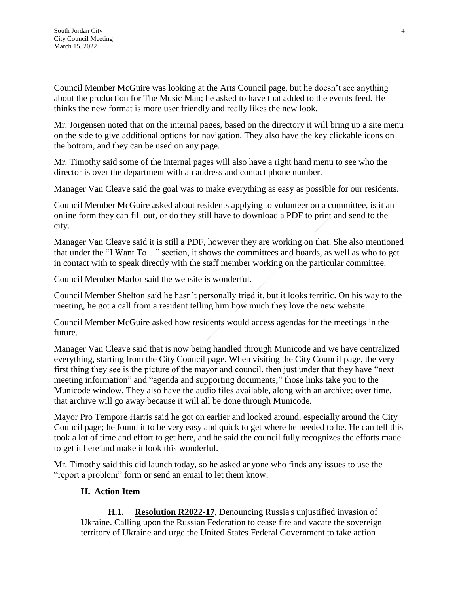Council Member McGuire was looking at the Arts Council page, but he doesn't see anything about the production for The Music Man; he asked to have that added to the events feed. He thinks the new format is more user friendly and really likes the new look.

Mr. Jorgensen noted that on the internal pages, based on the directory it will bring up a site menu on the side to give additional options for navigation. They also have the key clickable icons on the bottom, and they can be used on any page.

Mr. Timothy said some of the internal pages will also have a right hand menu to see who the director is over the department with an address and contact phone number.

Manager Van Cleave said the goal was to make everything as easy as possible for our residents.

Council Member McGuire asked about residents applying to volunteer on a committee, is it an online form they can fill out, or do they still have to download a PDF to print and send to the city.

Manager Van Cleave said it is still a PDF, however they are working on that. She also mentioned that under the "I Want To…" section, it shows the committees and boards, as well as who to get in contact with to speak directly with the staff member working on the particular committee.

Council Member Marlor said the website is wonderful.

Council Member Shelton said he hasn't personally tried it, but it looks terrific. On his way to the meeting, he got a call from a resident telling him how much they love the new website.

Council Member McGuire asked how residents would access agendas for the meetings in the future.

Manager Van Cleave said that is now being handled through Municode and we have centralized everything, starting from the City Council page. When visiting the City Council page, the very first thing they see is the picture of the mayor and council, then just under that they have "next meeting information" and "agenda and supporting documents;" those links take you to the Municode window. They also have the audio files available, along with an archive; over time, that archive will go away because it will all be done through Municode.

Mayor Pro Tempore Harris said he got on earlier and looked around, especially around the City Council page; he found it to be very easy and quick to get where he needed to be. He can tell this took a lot of time and effort to get here, and he said the council fully recognizes the efforts made to get it here and make it look this wonderful.

Mr. Timothy said this did launch today, so he asked anyone who finds any issues to use the "report a problem" form or send an email to let them know.

#### **H. Action Item**

**H.1. Resolution R2022-17**, Denouncing Russia's unjustified invasion of Ukraine. Calling upon the Russian Federation to cease fire and vacate the sovereign territory of Ukraine and urge the United States Federal Government to take action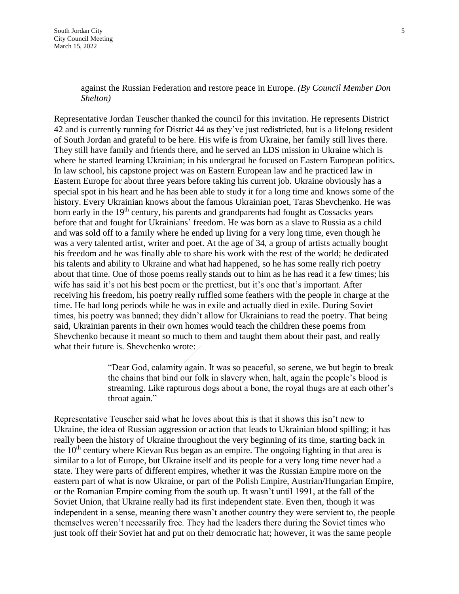against the Russian Federation and restore peace in Europe. *(By Council Member Don Shelton)*

Representative Jordan Teuscher thanked the council for this invitation. He represents District 42 and is currently running for District 44 as they've just redistricted, but is a lifelong resident of South Jordan and grateful to be here. His wife is from Ukraine, her family still lives there. They still have family and friends there, and he served an LDS mission in Ukraine which is where he started learning Ukrainian; in his undergrad he focused on Eastern European politics. In law school, his capstone project was on Eastern European law and he practiced law in Eastern Europe for about three years before taking his current job. Ukraine obviously has a special spot in his heart and he has been able to study it for a long time and knows some of the history. Every Ukrainian knows about the famous Ukrainian poet, Taras Shevchenko. He was born early in the 19<sup>th</sup> century, his parents and grandparents had fought as Cossacks years before that and fought for Ukrainians' freedom. He was born as a slave to Russia as a child and was sold off to a family where he ended up living for a very long time, even though he was a very talented artist, writer and poet. At the age of 34, a group of artists actually bought his freedom and he was finally able to share his work with the rest of the world; he dedicated his talents and ability to Ukraine and what had happened, so he has some really rich poetry about that time. One of those poems really stands out to him as he has read it a few times; his wife has said it's not his best poem or the prettiest, but it's one that's important. After receiving his freedom, his poetry really ruffled some feathers with the people in charge at the time. He had long periods while he was in exile and actually died in exile. During Soviet times, his poetry was banned; they didn't allow for Ukrainians to read the poetry. That being said, Ukrainian parents in their own homes would teach the children these poems from Shevchenko because it meant so much to them and taught them about their past, and really what their future is. Shevchenko wrote:

> "Dear God, calamity again. It was so peaceful, so serene, we but begin to break the chains that bind our folk in slavery when, halt, again the people's blood is streaming. Like rapturous dogs about a bone, the royal thugs are at each other's throat again."

Representative Teuscher said what he loves about this is that it shows this isn't new to Ukraine, the idea of Russian aggression or action that leads to Ukrainian blood spilling; it has really been the history of Ukraine throughout the very beginning of its time, starting back in the  $10<sup>th</sup>$  century where Kievan Rus began as an empire. The ongoing fighting in that area is similar to a lot of Europe, but Ukraine itself and its people for a very long time never had a state. They were parts of different empires, whether it was the Russian Empire more on the eastern part of what is now Ukraine, or part of the Polish Empire, Austrian/Hungarian Empire, or the Romanian Empire coming from the south up. It wasn't until 1991, at the fall of the Soviet Union, that Ukraine really had its first independent state. Even then, though it was independent in a sense, meaning there wasn't another country they were servient to, the people themselves weren't necessarily free. They had the leaders there during the Soviet times who just took off their Soviet hat and put on their democratic hat; however, it was the same people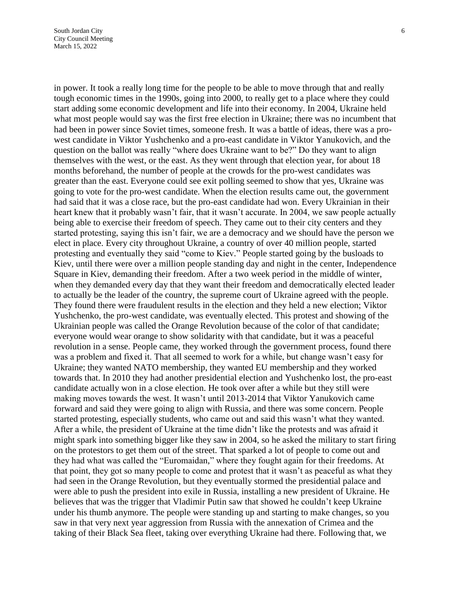in power. It took a really long time for the people to be able to move through that and really tough economic times in the 1990s, going into 2000, to really get to a place where they could start adding some economic development and life into their economy. In 2004, Ukraine held what most people would say was the first free election in Ukraine; there was no incumbent that had been in power since Soviet times, someone fresh. It was a battle of ideas, there was a prowest candidate in Viktor Yushchenko and a pro-east candidate in Viktor Yanukovich, and the question on the ballot was really "where does Ukraine want to be?" Do they want to align themselves with the west, or the east. As they went through that election year, for about 18 months beforehand, the number of people at the crowds for the pro-west candidates was greater than the east. Everyone could see exit polling seemed to show that yes, Ukraine was going to vote for the pro-west candidate. When the election results came out, the government had said that it was a close race, but the pro-east candidate had won. Every Ukrainian in their heart knew that it probably wasn't fair, that it wasn't accurate. In 2004, we saw people actually being able to exercise their freedom of speech. They came out to their city centers and they started protesting, saying this isn't fair, we are a democracy and we should have the person we elect in place. Every city throughout Ukraine, a country of over 40 million people, started protesting and eventually they said "come to Kiev." People started going by the busloads to Kiev, until there were over a million people standing day and night in the center, Independence Square in Kiev, demanding their freedom. After a two week period in the middle of winter, when they demanded every day that they want their freedom and democratically elected leader to actually be the leader of the country, the supreme court of Ukraine agreed with the people. They found there were fraudulent results in the election and they held a new election; Viktor Yushchenko, the pro-west candidate, was eventually elected. This protest and showing of the Ukrainian people was called the Orange Revolution because of the color of that candidate; everyone would wear orange to show solidarity with that candidate, but it was a peaceful revolution in a sense. People came, they worked through the government process, found there was a problem and fixed it. That all seemed to work for a while, but change wasn't easy for Ukraine; they wanted NATO membership, they wanted EU membership and they worked towards that. In 2010 they had another presidential election and Yushchenko lost, the pro-east candidate actually won in a close election. He took over after a while but they still were making moves towards the west. It wasn't until 2013-2014 that Viktor Yanukovich came forward and said they were going to align with Russia, and there was some concern. People started protesting, especially students, who came out and said this wasn't what they wanted. After a while, the president of Ukraine at the time didn't like the protests and was afraid it might spark into something bigger like they saw in 2004, so he asked the military to start firing on the protestors to get them out of the street. That sparked a lot of people to come out and they had what was called the "Euromaidan," where they fought again for their freedoms. At that point, they got so many people to come and protest that it wasn't as peaceful as what they had seen in the Orange Revolution, but they eventually stormed the presidential palace and were able to push the president into exile in Russia, installing a new president of Ukraine. He believes that was the trigger that Vladimir Putin saw that showed he couldn't keep Ukraine under his thumb anymore. The people were standing up and starting to make changes, so you saw in that very next year aggression from Russia with the annexation of Crimea and the taking of their Black Sea fleet, taking over everything Ukraine had there. Following that, we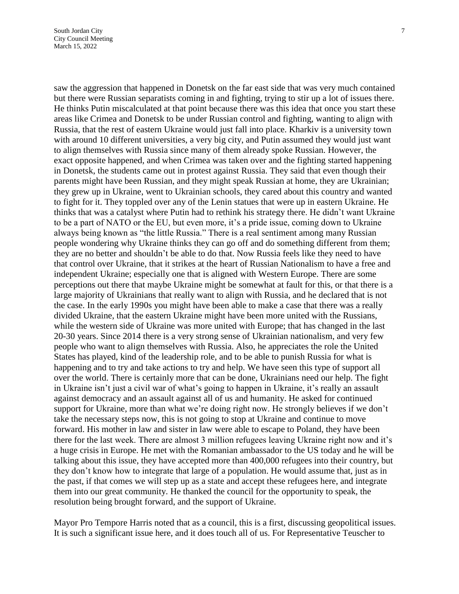saw the aggression that happened in Donetsk on the far east side that was very much contained but there were Russian separatists coming in and fighting, trying to stir up a lot of issues there. He thinks Putin miscalculated at that point because there was this idea that once you start these areas like Crimea and Donetsk to be under Russian control and fighting, wanting to align with Russia, that the rest of eastern Ukraine would just fall into place. Kharkiv is a university town with around 10 different universities, a very big city, and Putin assumed they would just want to align themselves with Russia since many of them already spoke Russian. However, the exact opposite happened, and when Crimea was taken over and the fighting started happening in Donetsk, the students came out in protest against Russia. They said that even though their parents might have been Russian, and they might speak Russian at home, they are Ukrainian; they grew up in Ukraine, went to Ukrainian schools, they cared about this country and wanted to fight for it. They toppled over any of the Lenin statues that were up in eastern Ukraine. He thinks that was a catalyst where Putin had to rethink his strategy there. He didn't want Ukraine to be a part of NATO or the EU, but even more, it's a pride issue, coming down to Ukraine always being known as "the little Russia." There is a real sentiment among many Russian people wondering why Ukraine thinks they can go off and do something different from them; they are no better and shouldn't be able to do that. Now Russia feels like they need to have that control over Ukraine, that it strikes at the heart of Russian Nationalism to have a free and independent Ukraine; especially one that is aligned with Western Europe. There are some perceptions out there that maybe Ukraine might be somewhat at fault for this, or that there is a large majority of Ukrainians that really want to align with Russia, and he declared that is not the case. In the early 1990s you might have been able to make a case that there was a really divided Ukraine, that the eastern Ukraine might have been more united with the Russians, while the western side of Ukraine was more united with Europe; that has changed in the last 20-30 years. Since 2014 there is a very strong sense of Ukrainian nationalism, and very few people who want to align themselves with Russia. Also, he appreciates the role the United States has played, kind of the leadership role, and to be able to punish Russia for what is happening and to try and take actions to try and help. We have seen this type of support all over the world. There is certainly more that can be done, Ukrainians need our help. The fight in Ukraine isn't just a civil war of what's going to happen in Ukraine, it's really an assault against democracy and an assault against all of us and humanity. He asked for continued support for Ukraine, more than what we're doing right now. He strongly believes if we don't take the necessary steps now, this is not going to stop at Ukraine and continue to move forward. His mother in law and sister in law were able to escape to Poland, they have been there for the last week. There are almost 3 million refugees leaving Ukraine right now and it's a huge crisis in Europe. He met with the Romanian ambassador to the US today and he will be talking about this issue, they have accepted more than 400,000 refugees into their country, but they don't know how to integrate that large of a population. He would assume that, just as in the past, if that comes we will step up as a state and accept these refugees here, and integrate them into our great community. He thanked the council for the opportunity to speak, the resolution being brought forward, and the support of Ukraine.

Mayor Pro Tempore Harris noted that as a council, this is a first, discussing geopolitical issues. It is such a significant issue here, and it does touch all of us. For Representative Teuscher to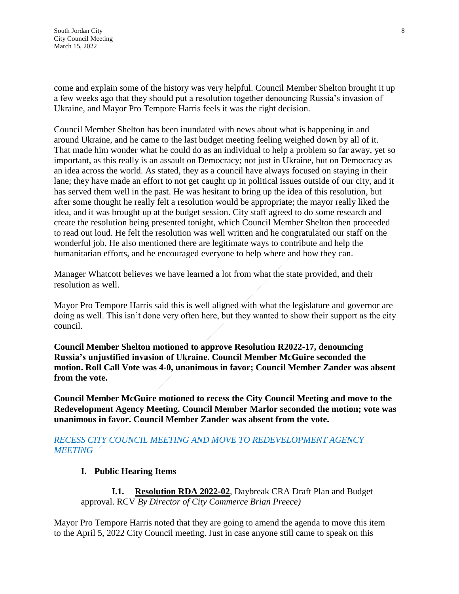come and explain some of the history was very helpful. Council Member Shelton brought it up a few weeks ago that they should put a resolution together denouncing Russia's invasion of Ukraine, and Mayor Pro Tempore Harris feels it was the right decision.

Council Member Shelton has been inundated with news about what is happening in and around Ukraine, and he came to the last budget meeting feeling weighed down by all of it. That made him wonder what he could do as an individual to help a problem so far away, yet so important, as this really is an assault on Democracy; not just in Ukraine, but on Democracy as an idea across the world. As stated, they as a council have always focused on staying in their lane; they have made an effort to not get caught up in political issues outside of our city, and it has served them well in the past. He was hesitant to bring up the idea of this resolution, but after some thought he really felt a resolution would be appropriate; the mayor really liked the idea, and it was brought up at the budget session. City staff agreed to do some research and create the resolution being presented tonight, which Council Member Shelton then proceeded to read out loud. He felt the resolution was well written and he congratulated our staff on the wonderful job. He also mentioned there are legitimate ways to contribute and help the humanitarian efforts, and he encouraged everyone to help where and how they can.

Manager Whatcott believes we have learned a lot from what the state provided, and their resolution as well.

Mayor Pro Tempore Harris said this is well aligned with what the legislature and governor are doing as well. This isn't done very often here, but they wanted to show their support as the city council.

**Council Member Shelton motioned to approve Resolution R2022-17, denouncing Russia's unjustified invasion of Ukraine. Council Member McGuire seconded the motion. Roll Call Vote was 4-0, unanimous in favor; Council Member Zander was absent from the vote.**

**Council Member McGuire motioned to recess the City Council Meeting and move to the Redevelopment Agency Meeting. Council Member Marlor seconded the motion; vote was unanimous in favor. Council Member Zander was absent from the vote.**

# *RECESS CITY COUNCIL MEETING AND MOVE TO REDEVELOPMENT AGENCY MEETING*

# **I. Public Hearing Items**

**I.1. Resolution RDA 2022-02**, Daybreak CRA Draft Plan and Budget approval. RCV *By Director of City Commerce Brian Preece)*

Mayor Pro Tempore Harris noted that they are going to amend the agenda to move this item to the April 5, 2022 City Council meeting. Just in case anyone still came to speak on this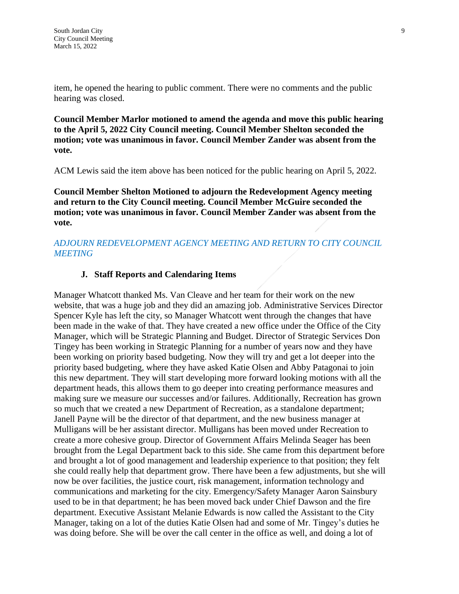item, he opened the hearing to public comment. There were no comments and the public hearing was closed.

**Council Member Marlor motioned to amend the agenda and move this public hearing to the April 5, 2022 City Council meeting. Council Member Shelton seconded the motion; vote was unanimous in favor. Council Member Zander was absent from the vote.**

ACM Lewis said the item above has been noticed for the public hearing on April 5, 2022.

**Council Member Shelton Motioned to adjourn the Redevelopment Agency meeting and return to the City Council meeting. Council Member McGuire seconded the motion; vote was unanimous in favor. Council Member Zander was absent from the vote.**

#### *ADJOURN REDEVELOPMENT AGENCY MEETING AND RETURN TO CITY COUNCIL MEETING*

# **J. Staff Reports and Calendaring Items**

Manager Whatcott thanked Ms. Van Cleave and her team for their work on the new website, that was a huge job and they did an amazing job. Administrative Services Director Spencer Kyle has left the city, so Manager Whatcott went through the changes that have been made in the wake of that. They have created a new office under the Office of the City Manager, which will be Strategic Planning and Budget. Director of Strategic Services Don Tingey has been working in Strategic Planning for a number of years now and they have been working on priority based budgeting. Now they will try and get a lot deeper into the priority based budgeting, where they have asked Katie Olsen and Abby Patagonai to join this new department. They will start developing more forward looking motions with all the department heads, this allows them to go deeper into creating performance measures and making sure we measure our successes and/or failures. Additionally, Recreation has grown so much that we created a new Department of Recreation, as a standalone department; Janell Payne will be the director of that department, and the new business manager at Mulligans will be her assistant director. Mulligans has been moved under Recreation to create a more cohesive group. Director of Government Affairs Melinda Seager has been brought from the Legal Department back to this side. She came from this department before and brought a lot of good management and leadership experience to that position; they felt she could really help that department grow. There have been a few adjustments, but she will now be over facilities, the justice court, risk management, information technology and communications and marketing for the city. Emergency/Safety Manager Aaron Sainsbury used to be in that department; he has been moved back under Chief Dawson and the fire department. Executive Assistant Melanie Edwards is now called the Assistant to the City Manager, taking on a lot of the duties Katie Olsen had and some of Mr. Tingey's duties he was doing before. She will be over the call center in the office as well, and doing a lot of